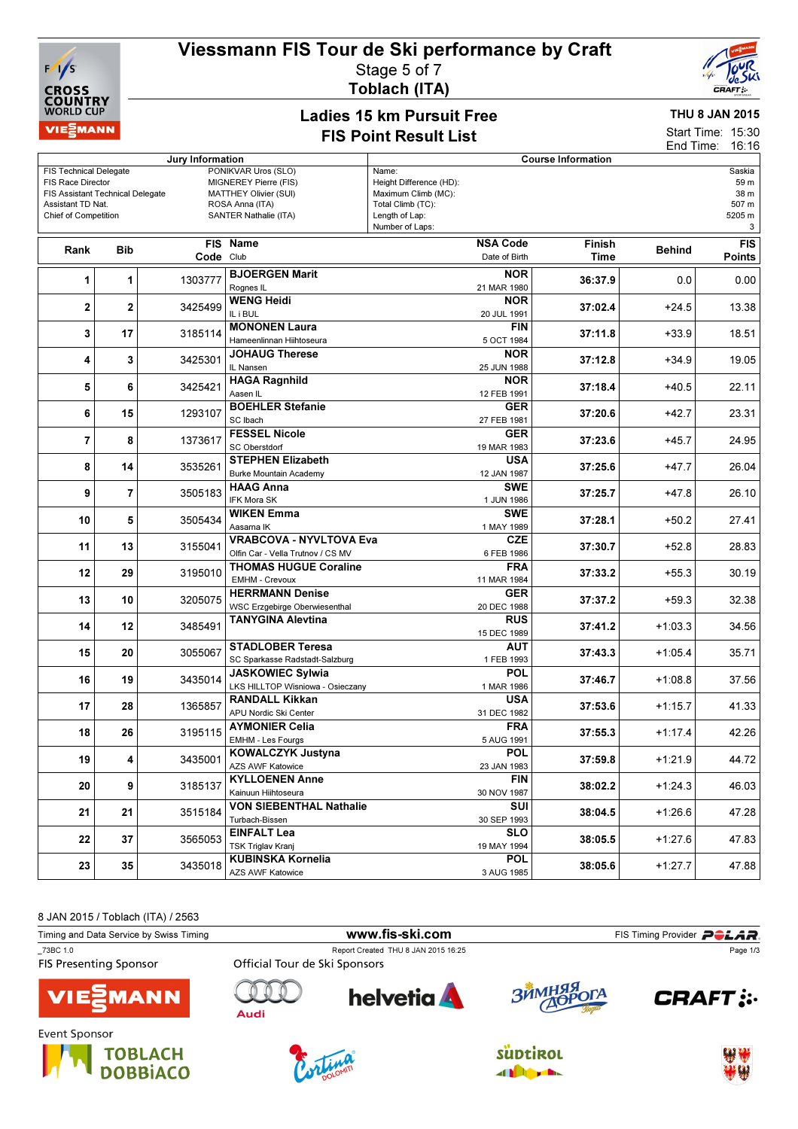## Viessmann FIS Tour de Ski performance by Craft



Stage 5 of 7

Toblach (ITA)



## Ladies 15 km Pursuit Free FIS Point Result List

THU 8 JAN 2015

Start Time: 15:30 End Time: 16:16

| Jury Information                                 |              |    |                                   |                                                 | <b>Course Information</b>                |                 |         |               |               |  |
|--------------------------------------------------|--------------|----|-----------------------------------|-------------------------------------------------|------------------------------------------|-----------------|---------|---------------|---------------|--|
| <b>FIS Technical Delegate</b>                    |              |    |                                   | PONIKVAR Uros (SLO)                             | Name:                                    |                 |         |               | Saskia        |  |
| FIS Race Director                                |              |    |                                   | MIGNEREY Pierre (FIS)                           | Height Difference (HD):                  |                 |         |               | 59 m          |  |
| FIS Assistant Technical Delegate                 |              |    |                                   | <b>MATTHEY Olivier (SUI)</b><br>ROSA Anna (ITA) | Maximum Climb (MC):<br>Total Climb (TC): |                 |         |               | 38 m<br>507 m |  |
| Assistant TD Nat.<br><b>Chief of Competition</b> |              |    |                                   | SANTER Nathalie (ITA)                           | Length of Lap:                           |                 |         |               | 5205 m        |  |
|                                                  |              |    |                                   |                                                 | Number of Laps:                          |                 |         |               | 3             |  |
|                                                  |              |    |                                   |                                                 |                                          |                 |         |               |               |  |
| Rank                                             | <b>Bib</b>   |    |                                   | FIS Name                                        |                                          | <b>NSA Code</b> | Finish  | <b>Behind</b> | <b>FIS</b>    |  |
|                                                  |              |    | Code Club                         |                                                 |                                          | Date of Birth   | Time    |               | <b>Points</b> |  |
|                                                  |              |    |                                   | <b>BJOERGEN Marit</b>                           |                                          | <b>NOR</b>      |         |               |               |  |
| 1<br>1                                           |              |    | 1303777                           | Rognes <sub>IL</sub>                            |                                          | 21 MAR 1980     | 36:37.9 | 0.0           | 0.00          |  |
|                                                  |              |    |                                   | <b>WENG Heidi</b>                               |                                          | <b>NOR</b>      |         |               |               |  |
| 2                                                | $\mathbf{2}$ |    | 3425499                           | IL i BUL                                        |                                          | 20 JUL 1991     | 37:02.4 | $+24.5$       | 13.38         |  |
|                                                  |              |    |                                   | <b>MONONEN Laura</b>                            |                                          | FIN             |         |               |               |  |
| 3                                                | 17           |    | 3185114                           | Hameenlinnan Hiihtoseura                        |                                          | 5 OCT 1984      | 37:11.8 | $+33.9$       | 18.51         |  |
|                                                  |              |    |                                   | <b>JOHAUG Therese</b>                           |                                          | <b>NOR</b>      |         |               |               |  |
| 4                                                | 3            |    | 3425301                           | IL Nansen                                       |                                          | 25 JUN 1988     | 37:12.8 | $+34.9$       | 19.05         |  |
|                                                  |              |    |                                   | <b>HAGA Ragnhild</b>                            |                                          | <b>NOR</b>      |         |               |               |  |
| 5                                                | 6            |    | 3425421                           | Aasen IL                                        |                                          | 12 FEB 1991     | 37:18.4 | $+40.5$       | 22.11         |  |
|                                                  |              |    |                                   | <b>BOEHLER Stefanie</b>                         |                                          | <b>GER</b>      |         |               |               |  |
| 6                                                | 15           |    | 1293107                           | SC Ibach                                        |                                          | 27 FEB 1981     | 37:20.6 | $+42.7$       | 23.31         |  |
|                                                  |              |    |                                   | <b>FESSEL Nicole</b>                            |                                          | <b>GER</b>      |         |               |               |  |
| 7                                                | 8            |    | 1373617                           | <b>SC Oberstdorf</b>                            |                                          | 19 MAR 1983     | 37:23.6 | $+45.7$       | 24.95         |  |
|                                                  |              |    |                                   | <b>STEPHEN Elizabeth</b>                        |                                          | <b>USA</b>      |         |               |               |  |
| 8                                                | 14           |    | 3535261                           |                                                 |                                          |                 | 37:25.6 | $+47.7$       | 26.04         |  |
|                                                  |              |    | 3505183                           | <b>Burke Mountain Academy</b>                   |                                          | 12 JAN 1987     |         |               |               |  |
| 9                                                | 7            |    |                                   | <b>HAAG Anna</b>                                |                                          | <b>SWE</b>      | 37:25.7 | $+47.8$       | 26.10         |  |
|                                                  |              |    |                                   | IFK Mora SK                                     |                                          | 1 JUN 1986      |         |               |               |  |
| 10                                               | 5            |    | 3505434                           | <b>WIKEN Emma</b>                               |                                          | <b>SWE</b>      | 37:28.1 | $+50.2$       | 27.41         |  |
|                                                  |              |    |                                   | Aasarna IK<br>1 MAY 1989                        |                                          |                 |         |               |               |  |
| 11                                               | 13           |    | 3155041                           | <b>VRABCOVA - NYVLTOVA Eva</b>                  |                                          | <b>CZE</b>      | 37:30.7 | $+52.8$       | 28.83         |  |
|                                                  |              |    | Olfin Car - Vella Trutnov / CS MV |                                                 | 6 FEB 1986                               |                 |         |               |               |  |
| 12<br>29                                         |              |    | 3195010                           | <b>THOMAS HUGUE Coraline</b>                    |                                          | <b>FRA</b>      | 37:33.2 | $+55.3$       | 30.19         |  |
|                                                  |              |    |                                   | EMHM - Crevoux                                  |                                          | 11 MAR 1984     |         |               |               |  |
| 13<br>10                                         |              |    | 3205075                           | <b>HERRMANN Denise</b>                          |                                          | <b>GER</b>      | 37:37.2 | $+59.3$       | 32.38         |  |
|                                                  |              |    |                                   | <b>WSC Erzgebirge Oberwiesenthal</b>            |                                          | 20 DEC 1988     |         |               |               |  |
| 14                                               | 12           |    | 3485491                           | TANYGINA Alevtina                               |                                          | <b>RUS</b>      | 37:41.2 | $+1:03.3$     | 34.56         |  |
|                                                  |              |    |                                   |                                                 |                                          | 15 DEC 1989     |         |               |               |  |
| 15                                               | 20           |    | 3055067                           | <b>STADLOBER Teresa</b>                         |                                          | <b>AUT</b>      | 37:43.3 | $+1:05.4$     | 35.71         |  |
|                                                  |              |    | SC Sparkasse Radstadt-Salzburg    |                                                 | 1 FEB 1993                               |                 |         |               |               |  |
| 16                                               | 19           |    | 3435014                           | <b>JASKOWIEC Sylwia</b>                         |                                          | <b>POL</b>      | 37:46.7 | $+1:08.8$     | 37.56         |  |
|                                                  |              |    |                                   | LKS HILLTOP Wisniowa - Osieczany                |                                          | 1 MAR 1986      |         |               |               |  |
| 17                                               | 28           |    | 1365857                           | <b>RANDALL Kikkan</b>                           |                                          | <b>USA</b>      | 37:53.6 | $+1:15.7$     | 41.33         |  |
|                                                  |              |    |                                   | APU Nordic Ski Center                           |                                          | 31 DEC 1982     |         |               |               |  |
| 18                                               |              | 26 | 3195115                           | <b>AYMONIER Celia</b>                           |                                          | <b>FRA</b>      | 37:55.3 | $+1:17.4$     | 42.26         |  |
|                                                  |              |    |                                   | EMHM - Les Fourgs                               |                                          | 5 AUG 1991      |         |               |               |  |
| 19                                               | 4            |    | 3435001                           | KOWALCZYK Justyna                               |                                          | <b>POL</b>      | 37:59.8 | $+1:21.9$     | 44.72         |  |
|                                                  |              |    |                                   | AZS AWF Katowice                                |                                          | 23 JAN 1983     |         |               |               |  |
| 20                                               | 9            |    | 3185137                           | <b>KYLLOENEN Anne</b>                           |                                          | FIN             | 38:02.2 | $+1:24.3$     | 46.03         |  |
|                                                  |              |    |                                   | Kainuun Hiihtoseura                             |                                          | 30 NOV 1987     |         |               |               |  |
|                                                  |              |    |                                   | <b>VON SIEBENTHAL Nathalie</b>                  |                                          | SUI             |         |               |               |  |
|                                                  | 21<br>21     |    | 3515184                           | Turbach-Bissen                                  |                                          | 30 SEP 1993     | 38:04.5 | $+1:26.6$     | 47.28         |  |
|                                                  |              |    |                                   | <b>EINFALT Lea</b>                              |                                          | <b>SLO</b>      |         |               |               |  |
| 22                                               | 37           |    | 3565053                           | <b>TSK Triglav Kranj</b>                        |                                          | 19 MAY 1994     | 38:05.5 | $+1:27.6$     | 47.83         |  |
|                                                  |              |    |                                   | <b>KUBINSKA Kornelia</b>                        |                                          | <b>POL</b>      |         |               |               |  |
| 23                                               | 35           |    | 3435018                           | <b>AZS AWF Katowice</b>                         |                                          | 3 AUG 1985      | 38:05.6 | $+1:27.7$     | 47.88         |  |

8 JAN 2015 / Toblach (ITA) / 2563

| Timing and Data Service by Swiss Timing |                               | www.fis-ski.com                     |            | FIS Timing Provider <b>POLAR</b> . |
|-----------------------------------------|-------------------------------|-------------------------------------|------------|------------------------------------|
| 73BC 1.0                                |                               | Report Created THU 8 JAN 2015 16:25 |            | Page 1/3                           |
| <b>FIS Presenting Sponsor</b>           | Official Tour de Ski Sponsors |                                     |            |                                    |
| <b>VIE</b> MANN                         | Audi                          | <b>helvetia</b>                     | ЗЙМНЯЯ ОГА | <b>CRAFT:</b>                      |
| Event Sponsor                           |                               |                                     |            |                                    |







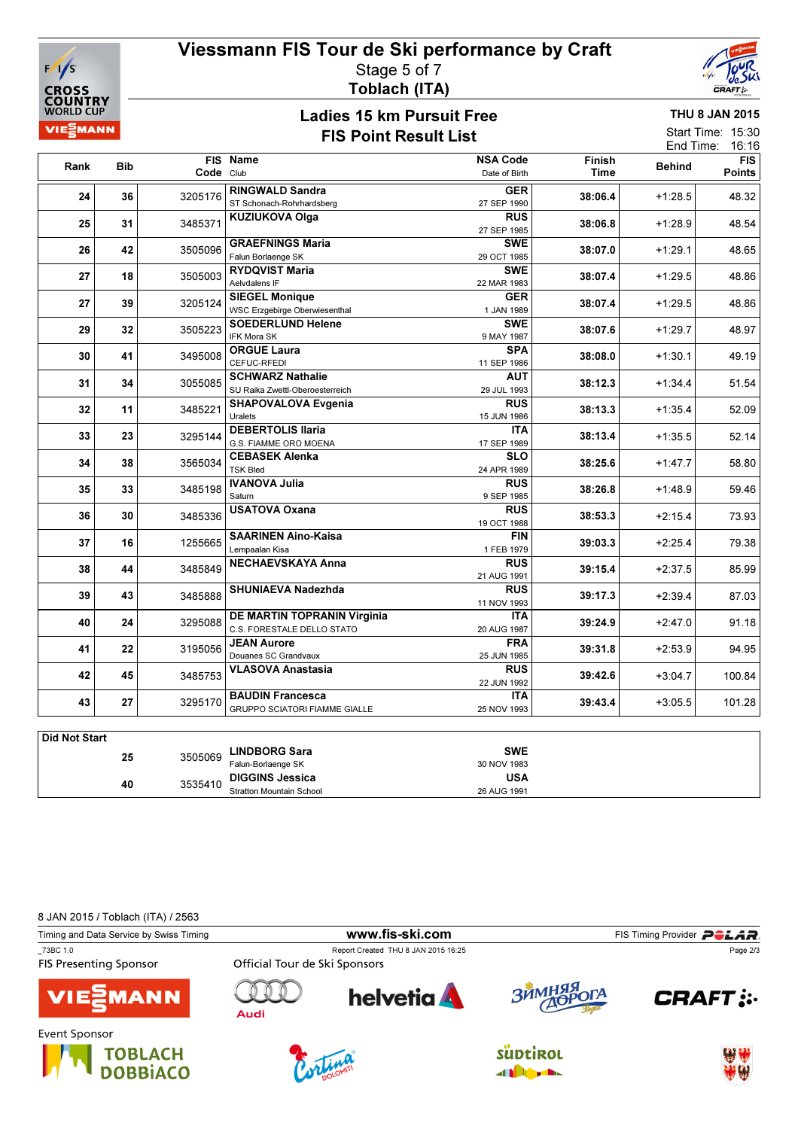

## Viessmann FIS Tour de Ski performance by Craft Stage 5 of 7 Toblach (ITA)



## Ladies 15 km Pursuit Free FIS Point Result List

THU 8 JAN 2015

| 11 IU U JAN 40 IJ                                        |  |
|----------------------------------------------------------|--|
| Start Time: 15:30                                        |  |
| $\Gamma$ and $\Gamma$ and a set of $\Gamma$ and $\Gamma$ |  |

|                      |            |                                    |                                                                 |                                  |                       | End Time:     | 16:16                       |
|----------------------|------------|------------------------------------|-----------------------------------------------------------------|----------------------------------|-----------------------|---------------|-----------------------------|
| Rank                 | <b>Bib</b> | Code Club                          | FIS Name                                                        | <b>NSA Code</b><br>Date of Birth | Finish<br><b>Time</b> | <b>Behind</b> | <b>FIS</b><br><b>Points</b> |
| 24                   | 36         | 3205176                            | <b>RINGWALD Sandra</b>                                          | <b>GER</b>                       | 38:06.4               | $+1:28.5$     | 48.32                       |
| 25                   | 31         | 3485371                            | ST Schonach-Rohrhardsberg<br><b>KUZIUKOVA Olga</b>              | 27 SEP 1990<br><b>RUS</b>        | 38:06.8               | $+1:28.9$     | 48.54                       |
| 26                   | 42         | 3505096                            | <b>GRAEFNINGS Maria</b>                                         | 27 SEP 1985<br><b>SWE</b>        | 38:07.0               | $+1:29.1$     | 48.65                       |
|                      |            |                                    | Falun Borlaenge SK<br><b>RYDQVIST Maria</b>                     | 29 OCT 1985<br><b>SWE</b>        |                       |               |                             |
| 27                   | 18         | 3505003                            | Aelvdalens IF<br><b>SIEGEL Monique</b>                          | 22 MAR 1983<br><b>GER</b>        | 38:07.4               | $+1:29.5$     | 48.86                       |
| 27                   | 39         | 3205124                            | WSC Erzgebirge Oberwiesenthal                                   | 1 JAN 1989                       | 38:07.4               | $+1:29.5$     | 48.86                       |
| 29                   | 32         | 3505223                            | <b>SOEDERLUND Helene</b><br>IFK Mora SK                         | <b>SWE</b><br>9 MAY 1987         | 38:07.6               | $+1:29.7$     | 48.97                       |
| 30                   | 41         | 3495008                            | <b>ORGUE Laura</b><br>CEFUC-RFEDI                               | <b>SPA</b><br>11 SEP 1986        | 38:08.0               | $+1:30.1$     | 49.19                       |
| 31                   | 34         | 3055085                            | <b>SCHWARZ Nathalie</b><br>SU Raika Zwettl-Oberoesterreich      | AUT<br>29 JUL 1993               | 38:12.3               | $+1:34.4$     | 51.54                       |
| 32                   | 11         | 3485221                            | SHAPOVALOVA Evgenia<br>Uralets                                  | <b>RUS</b><br>15 JUN 1986        | 38:13.3               | $+1:35.4$     | 52.09                       |
| 33                   | 23         | 3295144                            | <b>DEBERTOLIS Ilaria</b><br>G.S. FIAMME ORO MOENA               | <b>ITA</b><br>17 SEP 1989        | 38:13.4               | $+1:35.5$     | 52.14                       |
| 34                   | 38         | 3565034                            | <b>CEBASEK Alenka</b><br><b>TSK Bled</b>                        | <b>SLO</b><br>24 APR 1989        | 38:25.6               | $+1:47.7$     | 58.80                       |
| 35                   | 33         | 3485198                            | <b>IVANOVA Julia</b>                                            | <b>RUS</b>                       | 38:26.8               | $+1:48.9$     | 59.46                       |
| 36                   | 30         | 3485336                            | Saturn<br><b>USATOVA Oxana</b>                                  | 9 SEP 1985<br><b>RUS</b>         | 38:53.3               | $+2:15.4$     | 73.93                       |
|                      |            |                                    | <b>SAARINEN Aino-Kaisa</b>                                      | 19 OCT 1988<br><b>FIN</b>        |                       |               |                             |
| 37                   | 16         | 1255665                            | Lempaalan Kisa<br><b>NECHAEVSKAYA Anna</b>                      | 1 FEB 1979<br><b>RUS</b>         | 39:03.3               | $+2:25.4$     | 79.38                       |
| 38                   | 44         | 3485849                            |                                                                 | 21 AUG 1991                      | 39:15.4               | $+2:37.5$     | 85.99                       |
| 39                   | 43         | 3485888                            | <b>SHUNIAEVA Nadezhda</b>                                       | <b>RUS</b><br>11 NOV 1993        | 39:17.3               | $+2:39.4$     | 87.03                       |
| 40                   | 24         | 3295088                            | DE MARTIN TOPRANIN Virginia<br>C.S. FORESTALE DELLO STATO       | <b>ITA</b><br>20 AUG 1987        | 39:24.9               | $+2:47.0$     | 91.18                       |
| 41                   | 22         | 3195056                            | <b>JEAN Aurore</b><br>Douanes SC Grandvaux                      | <b>FRA</b><br>25 JUN 1985        | 39:31.8               | $+2:53.9$     | 94.95                       |
| 42                   | 45         | 3485753                            | <b>VLASOVA Anastasia</b>                                        | <b>RUS</b><br>22 JUN 1992        | 39:42.6               | $+3:04.7$     | 100.84                      |
| 43                   | 27         | 3295170                            | <b>BAUDIN Francesca</b><br><b>GRUPPO SCIATORI FIAMME GIALLE</b> | <b>ITA</b><br>25 NOV 1993        | 39:43.4               | $+3:05.5$     | 101.28                      |
|                      |            |                                    |                                                                 |                                  |                       |               |                             |
| <b>Did Not Start</b> |            |                                    |                                                                 |                                  |                       |               |                             |
|                      | 25         | 3505069                            | <b>LINDBORG Sara</b>                                            | <b>SWE</b>                       |                       |               |                             |
|                      |            |                                    | Falun-Borlaenge SK                                              | 30 NOV 1983                      |                       |               |                             |
|                      |            | $\sim$ $\sim$ $\sim$ $\sim$ $\sim$ | <b>DIGGINS Jessica</b>                                          | <b>USA</b>                       |                       |               |                             |

8 JAN 2015 / Toblach (ITA) / 2563

<sup>40</sup> DIGGINS Jessica 3535410

Stratton Mountain School

| Timing and Data Service by Swiss Timing   | www.fis-ski.com               |                                     |            | FIS Timing Provider <b>POLAR</b> |  |  |
|-------------------------------------------|-------------------------------|-------------------------------------|------------|----------------------------------|--|--|
| 73BC 1.0<br><b>FIS Presenting Sponsor</b> | Official Tour de Ski Sponsors | Report Created THU 8 JAN 2015 16:25 |            | Page 2/3                         |  |  |
| <b>VIESMANN</b>                           | Audi                          | helvetia <b>A</b>                   | ЗЙМНЯЯ ОГА | <b>CRAFT</b> :                   |  |  |
| Event Sponsor<br>TOBLACH                  |                               |                                     | SUDtiROL   | <b>SALAR</b>                     |  |  |







26 AUG 1991